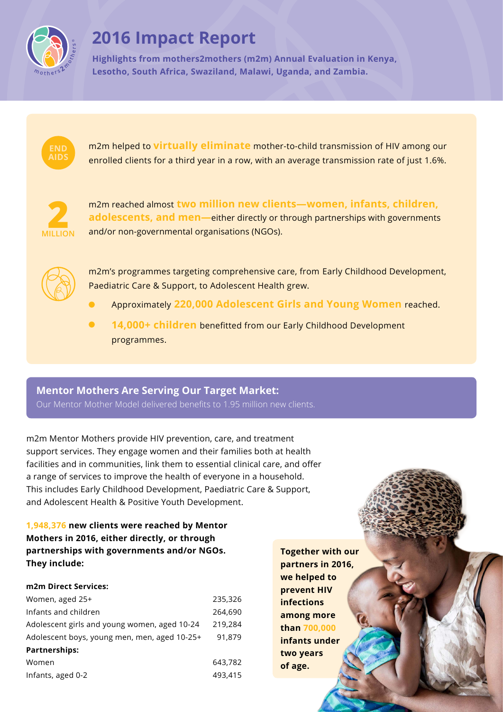

# **2016 Impact Report**

**Highlights from mothers2mothers (m2m) Annual Evaluation in Kenya, Lesotho, South Africa, Swaziland, Malawi, Uganda, and Zambia.** 



m2m helped to **virtually eliminate** mother-to-child transmission of HIV among our enrolled clients for a third year in a row, with an average transmission rate of just 1.6%.



m2m reached almost **two million new clients—women, infants, children, adolescents, and men—**either directly or through partnerships with governments and/or non-governmental organisations (NGOs).



m2m's programmes targeting comprehensive care, from Early Childhood Development, Paediatric Care & Support, to Adolescent Health grew.

- Approximately **220,000 Adolescent Girls and Young Women** reached.
- **14,000+ children** benefitted from our Early Childhood Development programmes.

# **Mentor Mothers Are Serving Our Target Market:**

Our Mentor Mother Model delivered benefits to 1.95 million new clients.

m2m Mentor Mothers provide HIV prevention, care, and treatment support services. They engage women and their families both at health facilities and in communities, link them to essential clinical care, and offer a range of services to improve the health of everyone in a household. This includes Early Childhood Development, Paediatric Care & Support, and Adolescent Health & Positive Youth Development.

**1,948,376 new clients were reached by Mentor Mothers in 2016, either directly, or through partnerships with governments and/or NGOs. They include:** 

#### **m2m Direct Services:**

| Women, aged 25+                              | 235,326 |
|----------------------------------------------|---------|
| Infants and children                         | 264,690 |
| Adolescent girls and young women, aged 10-24 | 219,284 |
| Adolescent boys, young men, men, aged 10-25+ | 91.879  |
| <b>Partnerships:</b>                         |         |
| Women                                        | 643,782 |
| Infants, aged 0-2                            | 493,415 |

**Together with our partners in 2016, we helped to prevent HIV infections among more than 700,000 infants under two years of age.**